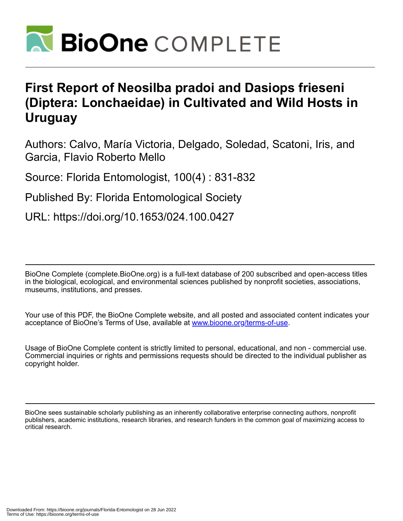

## **First Report of Neosilba pradoi and Dasiops frieseni (Diptera: Lonchaeidae) in Cultivated and Wild Hosts in Uruguay**

Authors: Calvo, María Victoria, Delgado, Soledad, Scatoni, Iris, and Garcia, Flavio Roberto Mello

Source: Florida Entomologist, 100(4) : 831-832

Published By: Florida Entomological Society

URL: https://doi.org/10.1653/024.100.0427

BioOne Complete (complete.BioOne.org) is a full-text database of 200 subscribed and open-access titles in the biological, ecological, and environmental sciences published by nonprofit societies, associations, museums, institutions, and presses.

Your use of this PDF, the BioOne Complete website, and all posted and associated content indicates your acceptance of BioOne's Terms of Use, available at www.bioone.org/terms-of-use.

Usage of BioOne Complete content is strictly limited to personal, educational, and non - commercial use. Commercial inquiries or rights and permissions requests should be directed to the individual publisher as copyright holder.

BioOne sees sustainable scholarly publishing as an inherently collaborative enterprise connecting authors, nonprofit publishers, academic institutions, research libraries, and research funders in the common goal of maximizing access to critical research.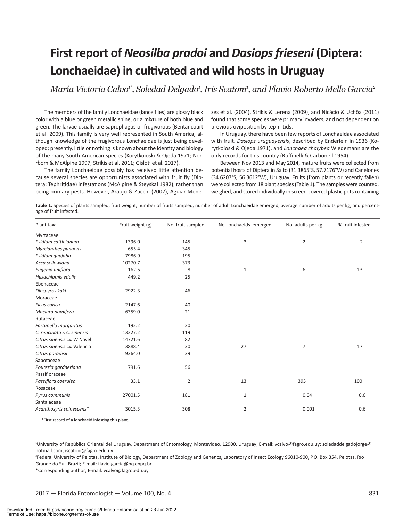# **First report of** *Neosilba pradoi* **and** *Dasiops frieseni* **(Diptera: Lonchaeidae) in cultivated and wild hosts in Uruguay**

María Victoria Calvo<sup>1\*</sup>, Soledad Delgado<sup>,</sup>, Iris Scatoni<sup>,</sup>, and Flavio Roberto Mello Garcia<del>°</del>

The members of the family Lonchaeidae (lance flies) are glossy black color with a blue or green metallic shine, or a mixture of both blue and green. The larvae usually are saprophagus or frugivorous (Bentancourt et al. 2009). This family is very well represented in South America, although knowledge of the frugivorous Lonchaeidae is just being developed; presently, little or nothing is known about the identity and biology of the many South American species (Korytkoioski & Ojeda 1971; Norrbom & McAlpine 1997; Strikis et al. 2011; Gisloti et al. 2017).

The family Lonchaeidae possibly has received little attention because several species are opportunists associated with fruit fly (Diptera: Tephritidae) infestations (McAlpine & Steyskal 1982), rather than being primary pests. However, Araujo & Zucchi (2002), Aguiar-Menezes et al. (2004), Strikis & Lerena (2009), and Nicácio & Uchôa (2011) found that some species were primary invaders, and not dependent on previous oviposition by tephritids.

In Uruguay, there have been few reports of Lonchaeidae associated with fruit. *Dasiops uruguayensis*, described by Enderlein in 1936 (Korytkoioski & Ojeda 1971), and *Lonchaea chalybea* Wiedemann are the only records for this country (Ruffinelli & Carbonell 1954).

Between Nov 2013 and May 2014, mature fruits were collected from potential hosts of Diptera in Salto (31.3865°S, 57.7176°W) and Canelones (34.6207°S, 56.3612°W), Uruguay. Fruits (from plants or recently fallen) were collected from 18 plant species (Table 1). The samples were counted, weighed, and stored individually in screen-covered plastic pots containing

**Table 1.** Species of plants sampled, fruit weight, number of fruits sampled, number of adult Lonchaeidae emerged, average number of adults per kg, and percentage of fruit infested.

| Plant taxa                         | Fruit weight (g) | No. fruit sampled | No. lonchaeids emerged | No. adults per kg | % fruit infested |
|------------------------------------|------------------|-------------------|------------------------|-------------------|------------------|
| Myrtaceae                          |                  |                   |                        |                   |                  |
| Psidium cattleianum                | 1396.0           | 145               | 3                      | $\overline{2}$    | $\overline{2}$   |
| Myrcianthes pungens                | 655.4            | 345               |                        |                   |                  |
| Psidium quajaba                    | 7986.9           | 195               |                        |                   |                  |
| Acca sellowiana                    | 10270.7          | 373               |                        |                   |                  |
| Eugenia uniflora                   | 162.6            | 8                 | $\mathbf{1}$           | 6                 | 13               |
| Hexachlamis edulis                 | 449.2            | 25                |                        |                   |                  |
| Ebenaceae                          |                  |                   |                        |                   |                  |
| Diospyros kaki                     | 2922.3           | 46                |                        |                   |                  |
| Moraceae                           |                  |                   |                        |                   |                  |
| <b>Ficus carica</b>                | 2147.6           | 40                |                        |                   |                  |
| Maclura pomifera                   | 6359.0           | 21                |                        |                   |                  |
| Rutaceae                           |                  |                   |                        |                   |                  |
| Fortunella margaritus              | 192.2            | 20                |                        |                   |                  |
| C. reticulata $\times$ C. sinensis | 13227.2          | 119               |                        |                   |                  |
| Citrus sinensis cv. W Navel        | 14721.6          | 82                |                        |                   |                  |
| Citrus sinensis cv. Valencia       | 3888.4           | 30                | 27                     | $\overline{7}$    | 17               |
| Citrus paradisii                   | 9364.0           | 39                |                        |                   |                  |
| Sapotaceae                         |                  |                   |                        |                   |                  |
| Pouteria gardneriana               | 791.6            | 56                |                        |                   |                  |
| Passifloraceae                     |                  |                   |                        |                   |                  |
| Passiflora caerulea                | 33.1             | $\overline{2}$    | 13                     | 393               | 100              |
| Rosaceae                           |                  |                   |                        |                   |                  |
| Pyrus communis                     | 27001.5          | 181               | $1\,$                  | 0.04              | 0.6              |
| Santalaceae                        |                  |                   |                        |                   |                  |
| Acanthosyris spinescens*           | 3015.3           | 308               | $\overline{2}$         | 0.001             | 0.6              |

\*First record of a lonchaeid infesting this plant.

\*Corresponding author; E-mail: vcalvo@fagro.edu.uy

<sup>1</sup> University of República Oriental del Uruguay, Department of Entomology, Montevideo, 12900, Uruguay; E-mail: vcalvo@fagro.edu.uy; soledaddelgadojorge@ hotmail.com; iscatoni@fagro.edu.uy

<sup>2</sup> Federal University of Pelotas, Institute of Biology, Department of Zoology and Genetics, Laboratory of Insect Ecology 96010-900, P.O. Box 354, Pelotas, Río Grande do Sul, Brazil; E-mail: flavio.garcia@pq.cnpq.br